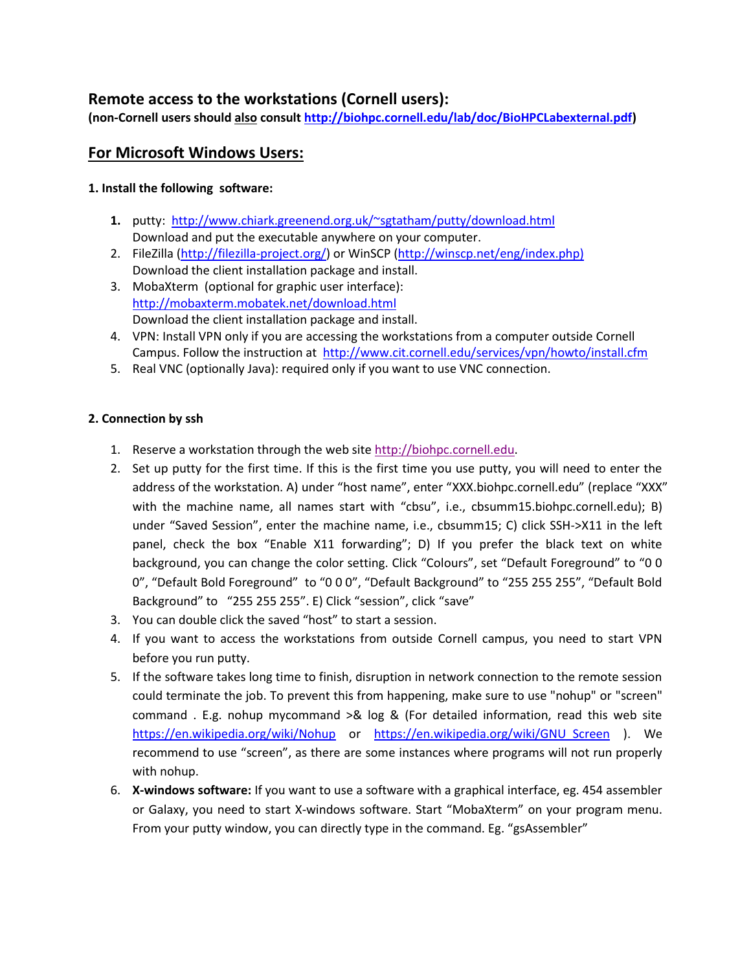# **Remote access to the workstations (Cornell users):**

**(non-Cornell users should also consult [http://biohpc.cornell.edu/lab/doc/BioHPCLabexternal.pdf\)](http://biohpc.cornell.edu/lab/doc/BioHPCLabexternal.pdf)**

## **For Microsoft Windows Users:**

## **1. Install the following software:**

- **1.** putty: <http://www.chiark.greenend.org.uk/~sgtatham/putty/download.html> Download and put the executable anywhere on your computer.
- 2. FileZilla [\(http://filezilla-project.org/\)](http://filezilla-project.org/) or WinSCP [\(http://winscp.net/eng/index.php\)](http://winscp.net/eng/index.php) Download the client installation package and install.
- 3. MobaXterm (optional for graphic user interface): <http://mobaxterm.mobatek.net/download.html> Download the client installation package and install.
- 4. VPN: Install VPN only if you are accessing the workstations from a computer outside Cornell Campus. Follow the instruction at <http://www.cit.cornell.edu/services/vpn/howto/install.cfm>
- 5. Real VNC (optionally Java): required only if you want to use VNC connection.

### **2. Connection by ssh**

- 1. Reserve a workstation through the web sit[e http://biohpc.cornell.edu.](http://biohpc.cornell.edu/)
- 2. Set up putty for the first time. If this is the first time you use putty, you will need to enter the address of the workstation. A) under "host name", enter "XXX.biohpc.cornell.edu" (replace "XXX" with the machine name, all names start with "cbsu", i.e., cbsumm15.biohpc.cornell.edu); B) under "Saved Session", enter the machine name, i.e., cbsumm15; C) click SSH->X11 in the left panel, check the box "Enable X11 forwarding"; D) If you prefer the black text on white background, you can change the color setting. Click "Colours", set "Default Foreground" to "0 0 0", "Default Bold Foreground" to "0 0 0", "Default Background" to "255 255 255", "Default Bold Background" to "255 255 255". E) Click "session", click "save"
- 3. You can double click the saved "host" to start a session.
- 4. If you want to access the workstations from outside Cornell campus, you need to start VPN before you run putty.
- 5. If the software takes long time to finish, disruption in network connection to the remote session could terminate the job. To prevent this from happening, make sure to use "nohup" or "screen" command . E.g. nohup mycommand >& log & (For detailed information, read this web site <https://en.wikipedia.org/wiki/Nohup> or [https://en.wikipedia.org/wiki/GNU\\_Screen](https://en.wikipedia.org/wiki/GNU_Screen) ). We recommend to use "screen", as there are some instances where programs will not run properly with nohup.
- 6. **X-windows software:** If you want to use a software with a graphical interface, eg. 454 assembler or Galaxy, you need to start X-windows software. Start "MobaXterm" on your program menu. From your putty window, you can directly type in the command. Eg. "gsAssembler"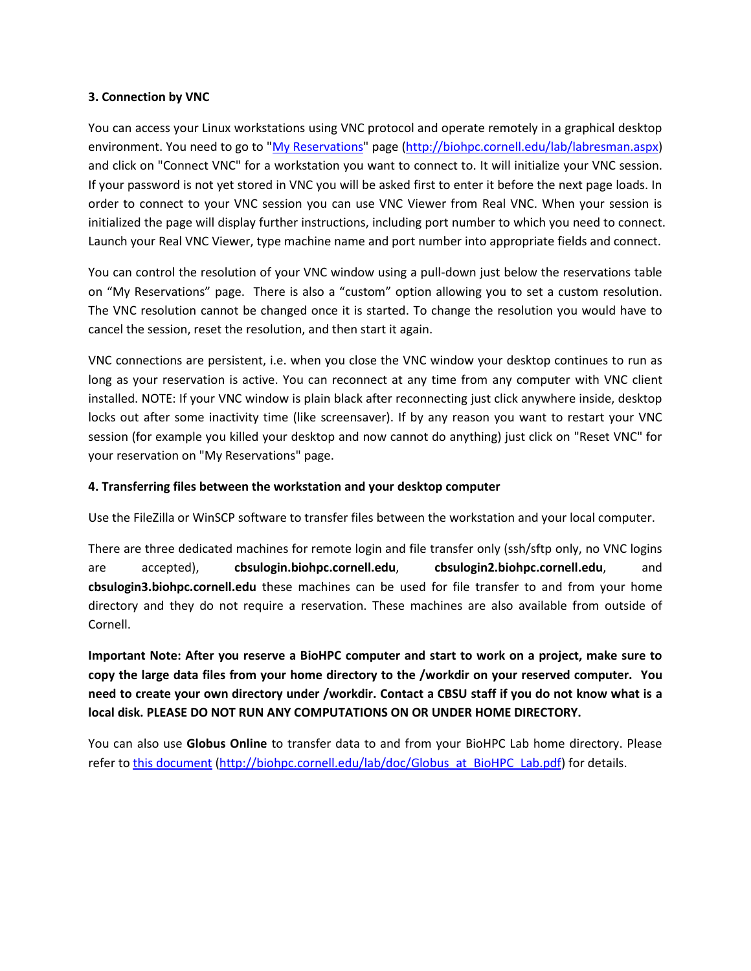### **3. Connection by VNC**

You can access your Linux workstations using VNC protocol and operate remotely in a graphical desktop environment. You need to go to ["My Reservations"](http://biohpc.cornell.edu/lab/labresman.aspx) page [\(http://biohpc.cornell.edu/lab/labresman.aspx\)](http://biohpc.cornell.edu/lab/labresman.aspx) and click on "Connect VNC" for a workstation you want to connect to. It will initialize your VNC session. If your password is not yet stored in VNC you will be asked first to enter it before the next page loads. In order to connect to your VNC session you can use VNC Viewer from Real VNC. When your session is initialized the page will display further instructions, including port number to which you need to connect. Launch your Real VNC Viewer, type machine name and port number into appropriate fields and connect.

You can control the resolution of your VNC window using a pull-down just below the reservations table on "My Reservations" page. There is also a "custom" option allowing you to set a custom resolution. The VNC resolution cannot be changed once it is started. To change the resolution you would have to cancel the session, reset the resolution, and then start it again.

VNC connections are persistent, i.e. when you close the VNC window your desktop continues to run as long as your reservation is active. You can reconnect at any time from any computer with VNC client installed. NOTE: If your VNC window is plain black after reconnecting just click anywhere inside, desktop locks out after some inactivity time (like screensaver). If by any reason you want to restart your VNC session (for example you killed your desktop and now cannot do anything) just click on "Reset VNC" for your reservation on "My Reservations" page.

### **4. Transferring files between the workstation and your desktop computer**

Use the FileZilla or WinSCP software to transfer files between the workstation and your local computer.

There are three dedicated machines for remote login and file transfer only (ssh/sftp only, no VNC logins are accepted), **cbsulogin.biohpc.cornell.edu**, **cbsulogin2.biohpc.cornell.edu**, and **cbsulogin3.biohpc.cornell.edu** these machines can be used for file transfer to and from your home directory and they do not require a reservation. These machines are also available from outside of Cornell.

**Important Note: After you reserve a BioHPC computer and start to work on a project, make sure to copy the large data files from your home directory to the /workdir on your reserved computer. You need to create your own directory under /workdir. Contact a CBSU staff if you do not know what is a local disk. PLEASE DO NOT RUN ANY COMPUTATIONS ON OR UNDER HOME DIRECTORY.**

You can also use **Globus Online** to transfer data to and from your BioHPC Lab home directory. Please refer t[o this document](http://biohpc.cornell.edu/lab/doc/Globus_at_BioHPC_Lab.pdf) [\(http://biohpc.cornell.edu/lab/doc/Globus\\_at\\_BioHPC\\_Lab.pdf\)](http://biohpc.cornell.edu/lab/doc/Globus_at_BioHPC_Lab.pdf) for details.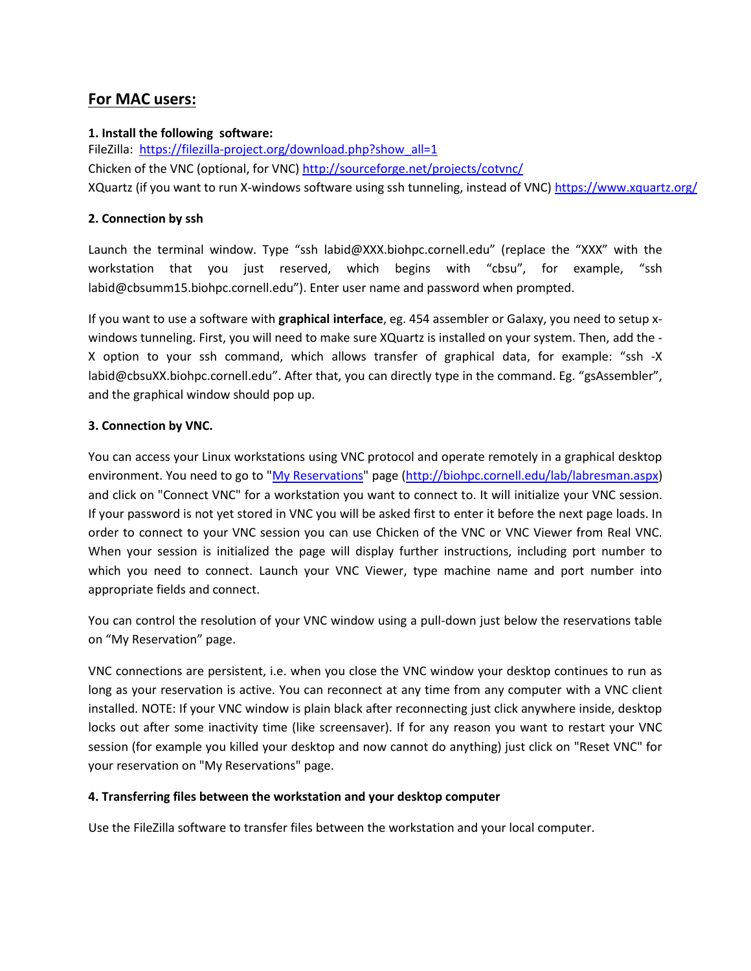# **For MAC users:**

## **1. Install the following software:**

FileZilla: [https://filezilla-project.org/download.php?show\\_all=1](https://filezilla-project.org/download.php?show_all=1) Chicken of the VNC (optional, for VNC[\) http://sourceforge.net/projects/cotvnc/](http://sourceforge.net/projects/cotvnc/) XQuartz (if you want to run X-windows software using ssh tunneling, instead of VNC) <https://www.xquartz.org/>

### **2. Connection by ssh**

Launch the terminal window. Type "ssh labid@XXX.biohpc.cornell.edu" (replace the "XXX" with the workstation that you just reserved, which begins with "cbsu", for example, "ssh labid@cbsumm15.biohpc.cornell.edu"). Enter user name and password when prompted.

If you want to use a software with **graphical interface**, eg. 454 assembler or Galaxy, you need to setup xwindows tunneling. First, you will need to make sure XQuartz is installed on your system. Then, add the - X option to your ssh command, which allows transfer of graphical data, for example: "ssh -X labid@cbsuXX.biohpc.cornell.edu". After that, you can directly type in the command. Eg. "gsAssembler", and the graphical window should pop up.

### **3. Connection by VNC.**

You can access your Linux workstations using VNC protocol and operate remotely in a graphical desktop environment. You need to go to ["My Reservations"](http://biohpc.cornell.edu/lab/labresman.aspx) page [\(http://biohpc.cornell.edu/lab/labresman.aspx\)](http://biohpc.cornell.edu/lab/labresman.aspx) and click on "Connect VNC" for a workstation you want to connect to. It will initialize your VNC session. If your password is not yet stored in VNC you will be asked first to enter it before the next page loads. In order to connect to your VNC session you can use Chicken of the VNC or VNC Viewer from Real VNC. When your session is initialized the page will display further instructions, including port number to which you need to connect. Launch your VNC Viewer, type machine name and port number into appropriate fields and connect.

You can control the resolution of your VNC window using a pull-down just below the reservations table on "My Reservation" page.

VNC connections are persistent, i.e. when you close the VNC window your desktop continues to run as long as your reservation is active. You can reconnect at any time from any computer with a VNC client installed. NOTE: If your VNC window is plain black after reconnecting just click anywhere inside, desktop locks out after some inactivity time (like screensaver). If for any reason you want to restart your VNC session (for example you killed your desktop and now cannot do anything) just click on "Reset VNC" for your reservation on "My Reservations" page.

### **4. Transferring files between the workstation and your desktop computer**

Use the FileZilla software to transfer files between the workstation and your local computer.